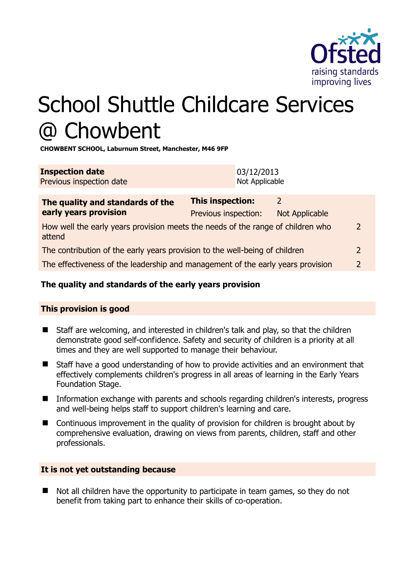

# School Shuttle Childcare Services @ Chowbent

**CHOWBENT SCHOOL, Laburnum Street, Manchester, M46 9FP** 

| <b>Inspection date</b>   | 03/12/2013     |
|--------------------------|----------------|
| Previous inspection date | Not Applicable |

| The quality and standards of the<br>early years provision                                 | <b>This inspection:</b> | 2              |               |
|-------------------------------------------------------------------------------------------|-------------------------|----------------|---------------|
|                                                                                           | Previous inspection:    | Not Applicable |               |
| How well the early years provision meets the needs of the range of children who<br>attend |                         |                |               |
| The contribution of the early years provision to the well-being of children               |                         |                |               |
| The effectiveness of the leadership and management of the early years provision           |                         |                | $\mathcal{P}$ |
|                                                                                           |                         |                |               |

# **The quality and standards of the early years provision**

# **This provision is good**

- Staff are welcoming, and interested in children's talk and play, so that the children demonstrate good self-confidence. Safety and security of children is a priority at all times and they are well supported to manage their behaviour.
- Staff have a good understanding of how to provide activities and an environment that effectively complements children's progress in all areas of learning in the Early Years Foundation Stage.
- Information exchange with parents and schools regarding children's interests, progress and well-being helps staff to support children's learning and care.
- Continuous improvement in the quality of provision for children is brought about by comprehensive evaluation, drawing on views from parents, children, staff and other professionals.

# **It is not yet outstanding because**

Not all children have the opportunity to participate in team games, so they do not benefit from taking part to enhance their skills of co-operation.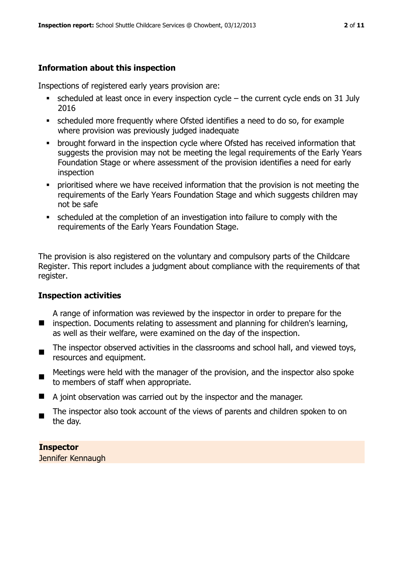# **Information about this inspection**

Inspections of registered early years provision are:

- $\bullet$  scheduled at least once in every inspection cycle the current cycle ends on 31 July 2016
- scheduled more frequently where Ofsted identifies a need to do so, for example where provision was previously judged inadequate
- **•** brought forward in the inspection cycle where Ofsted has received information that suggests the provision may not be meeting the legal requirements of the Early Years Foundation Stage or where assessment of the provision identifies a need for early inspection
- **•** prioritised where we have received information that the provision is not meeting the requirements of the Early Years Foundation Stage and which suggests children may not be safe
- scheduled at the completion of an investigation into failure to comply with the requirements of the Early Years Foundation Stage.

The provision is also registered on the voluntary and compulsory parts of the Childcare Register. This report includes a judgment about compliance with the requirements of that register.

#### **Inspection activities**

- **I** inspection. Documents relating to assessment and planning for children's learning, A range of information was reviewed by the inspector in order to prepare for the as well as their welfare, were examined on the day of the inspection.
- $\blacksquare$ The inspector observed activities in the classrooms and school hall, and viewed toys, resources and equipment.
- $\blacksquare$ Meetings were held with the manager of the provision, and the inspector also spoke to members of staff when appropriate.
- A joint observation was carried out by the inspector and the manager.
- The inspector also took account of the views of parents and children spoken to on the day.

**Inspector**  Jennifer Kennaugh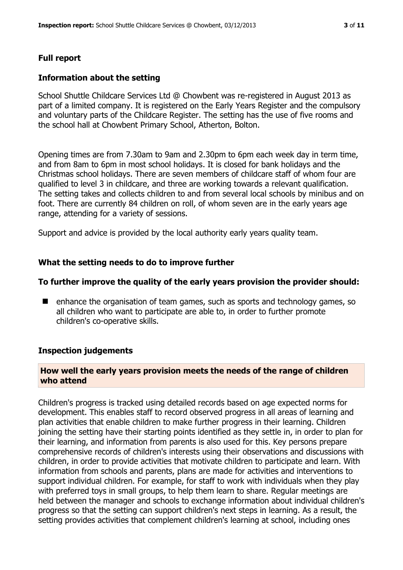# **Full report**

#### **Information about the setting**

School Shuttle Childcare Services Ltd @ Chowbent was re-registered in August 2013 as part of a limited company. It is registered on the Early Years Register and the compulsory and voluntary parts of the Childcare Register. The setting has the use of five rooms and the school hall at Chowbent Primary School, Atherton, Bolton.

Opening times are from 7.30am to 9am and 2.30pm to 6pm each week day in term time, and from 8am to 6pm in most school holidays. It is closed for bank holidays and the Christmas school holidays. There are seven members of childcare staff of whom four are qualified to level 3 in childcare, and three are working towards a relevant qualification. The setting takes and collects children to and from several local schools by minibus and on foot. There are currently 84 children on roll, of whom seven are in the early years age range, attending for a variety of sessions.

Support and advice is provided by the local authority early years quality team.

#### **What the setting needs to do to improve further**

#### **To further improve the quality of the early years provision the provider should:**

■ enhance the organisation of team games, such as sports and technology games, so all children who want to participate are able to, in order to further promote children's co-operative skills.

#### **Inspection judgements**

# **How well the early years provision meets the needs of the range of children who attend**

Children's progress is tracked using detailed records based on age expected norms for development. This enables staff to record observed progress in all areas of learning and plan activities that enable children to make further progress in their learning. Children joining the setting have their starting points identified as they settle in, in order to plan for their learning, and information from parents is also used for this. Key persons prepare comprehensive records of children's interests using their observations and discussions with children, in order to provide activities that motivate children to participate and learn. With information from schools and parents, plans are made for activities and interventions to support individual children. For example, for staff to work with individuals when they play with preferred toys in small groups, to help them learn to share. Regular meetings are held between the manager and schools to exchange information about individual children's progress so that the setting can support children's next steps in learning. As a result, the setting provides activities that complement children's learning at school, including ones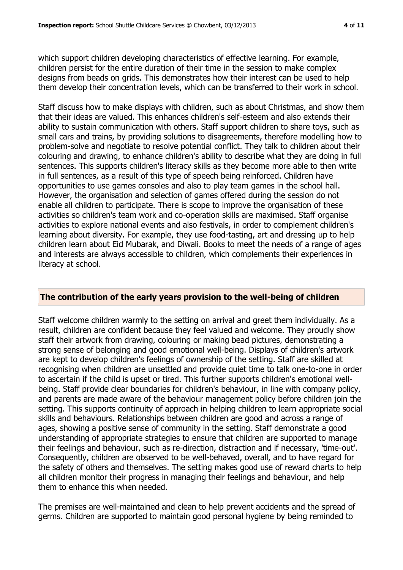which support children developing characteristics of effective learning. For example, children persist for the entire duration of their time in the session to make complex designs from beads on grids. This demonstrates how their interest can be used to help them develop their concentration levels, which can be transferred to their work in school.

Staff discuss how to make displays with children, such as about Christmas, and show them that their ideas are valued. This enhances children's self-esteem and also extends their ability to sustain communication with others. Staff support children to share toys, such as small cars and trains, by providing solutions to disagreements, therefore modelling how to problem-solve and negotiate to resolve potential conflict. They talk to children about their colouring and drawing, to enhance children's ability to describe what they are doing in full sentences. This supports children's literacy skills as they become more able to then write in full sentences, as a result of this type of speech being reinforced. Children have opportunities to use games consoles and also to play team games in the school hall. However, the organisation and selection of games offered during the session do not enable all children to participate. There is scope to improve the organisation of these activities so children's team work and co-operation skills are maximised. Staff organise activities to explore national events and also festivals, in order to complement children's learning about diversity. For example, they use food-tasting, art and dressing up to help children learn about Eid Mubarak, and Diwali. Books to meet the needs of a range of ages and interests are always accessible to children, which complements their experiences in literacy at school.

# **The contribution of the early years provision to the well-being of children**

Staff welcome children warmly to the setting on arrival and greet them individually. As a result, children are confident because they feel valued and welcome. They proudly show staff their artwork from drawing, colouring or making bead pictures, demonstrating a strong sense of belonging and good emotional well-being. Displays of children's artwork are kept to develop children's feelings of ownership of the setting. Staff are skilled at recognising when children are unsettled and provide quiet time to talk one-to-one in order to ascertain if the child is upset or tired. This further supports children's emotional wellbeing. Staff provide clear boundaries for children's behaviour, in line with company policy, and parents are made aware of the behaviour management policy before children join the setting. This supports continuity of approach in helping children to learn appropriate social skills and behaviours. Relationships between children are good and across a range of ages, showing a positive sense of community in the setting. Staff demonstrate a good understanding of appropriate strategies to ensure that children are supported to manage their feelings and behaviour, such as re-direction, distraction and if necessary, 'time-out'. Consequently, children are observed to be well-behaved, overall, and to have regard for the safety of others and themselves. The setting makes good use of reward charts to help all children monitor their progress in managing their feelings and behaviour, and help them to enhance this when needed.

The premises are well-maintained and clean to help prevent accidents and the spread of germs. Children are supported to maintain good personal hygiene by being reminded to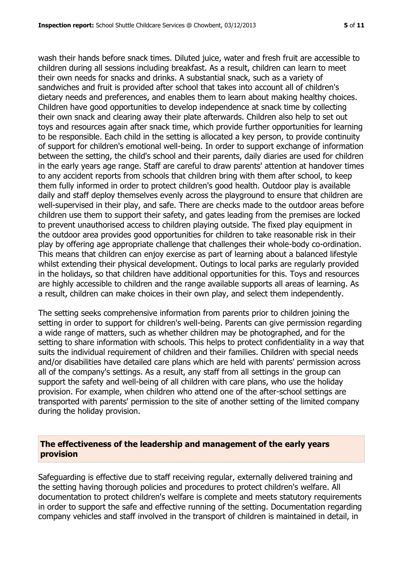wash their hands before snack times. Diluted juice, water and fresh fruit are accessible to children during all sessions including breakfast. As a result, children can learn to meet their own needs for snacks and drinks. A substantial snack, such as a variety of sandwiches and fruit is provided after school that takes into account all of children's dietary needs and preferences, and enables them to learn about making healthy choices. Children have good opportunities to develop independence at snack time by collecting their own snack and clearing away their plate afterwards. Children also help to set out toys and resources again after snack time, which provide further opportunities for learning to be responsible. Each child in the setting is allocated a key person, to provide continuity of support for children's emotional well-being. In order to support exchange of information between the setting, the child's school and their parents, daily diaries are used for children in the early years age range. Staff are careful to draw parents' attention at handover times to any accident reports from schools that children bring with them after school, to keep them fully informed in order to protect children's good health. Outdoor play is available daily and staff deploy themselves evenly across the playground to ensure that children are well-supervised in their play, and safe. There are checks made to the outdoor areas before children use them to support their safety, and gates leading from the premises are locked to prevent unauthorised access to children playing outside. The fixed play equipment in the outdoor area provides good opportunities for children to take reasonable risk in their play by offering age appropriate challenge that challenges their whole-body co-ordination. This means that children can enjoy exercise as part of learning about a balanced lifestyle whilst extending their physical development. Outings to local parks are regularly provided in the holidays, so that children have additional opportunities for this. Toys and resources are highly accessible to children and the range available supports all areas of learning. As a result, children can make choices in their own play, and select them independently.

The setting seeks comprehensive information from parents prior to children joining the setting in order to support for children's well-being. Parents can give permission regarding a wide range of matters, such as whether children may be photographed, and for the setting to share information with schools. This helps to protect confidentiality in a way that suits the individual requirement of children and their families. Children with special needs and/or disabilities have detailed care plans which are held with parents' permission across all of the company's settings. As a result, any staff from all settings in the group can support the safety and well-being of all children with care plans, who use the holiday provision. For example, when children who attend one of the after-school settings are transported with parents' permission to the site of another setting of the limited company during the holiday provision.

#### **The effectiveness of the leadership and management of the early years provision**

Safeguarding is effective due to staff receiving regular, externally delivered training and the setting having thorough policies and procedures to protect children's welfare. All documentation to protect children's welfare is complete and meets statutory requirements in order to support the safe and effective running of the setting. Documentation regarding company vehicles and staff involved in the transport of children is maintained in detail, in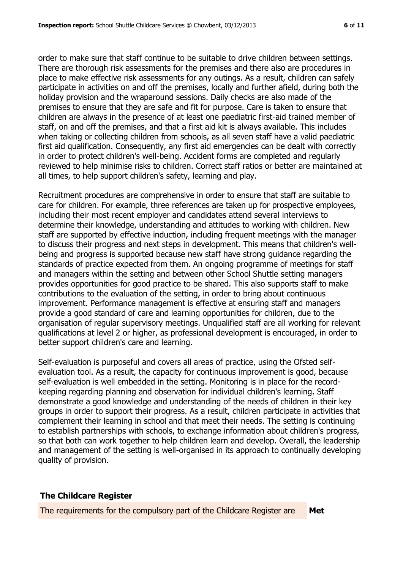order to make sure that staff continue to be suitable to drive children between settings. There are thorough risk assessments for the premises and there also are procedures in place to make effective risk assessments for any outings. As a result, children can safely participate in activities on and off the premises, locally and further afield, during both the holiday provision and the wraparound sessions. Daily checks are also made of the premises to ensure that they are safe and fit for purpose. Care is taken to ensure that children are always in the presence of at least one paediatric first-aid trained member of staff, on and off the premises, and that a first aid kit is always available. This includes when taking or collecting children from schools, as all seven staff have a valid paediatric first aid qualification. Consequently, any first aid emergencies can be dealt with correctly in order to protect children's well-being. Accident forms are completed and regularly reviewed to help minimise risks to children. Correct staff ratios or better are maintained at all times, to help support children's safety, learning and play.

Recruitment procedures are comprehensive in order to ensure that staff are suitable to care for children. For example, three references are taken up for prospective employees, including their most recent employer and candidates attend several interviews to determine their knowledge, understanding and attitudes to working with children. New staff are supported by effective induction, including frequent meetings with the manager to discuss their progress and next steps in development. This means that children's wellbeing and progress is supported because new staff have strong guidance regarding the standards of practice expected from them. An ongoing programme of meetings for staff and managers within the setting and between other School Shuttle setting managers provides opportunities for good practice to be shared. This also supports staff to make contributions to the evaluation of the setting, in order to bring about continuous improvement. Performance management is effective at ensuring staff and managers provide a good standard of care and learning opportunities for children, due to the organisation of regular supervisory meetings. Unqualified staff are all working for relevant qualifications at level 2 or higher, as professional development is encouraged, in order to better support children's care and learning.

Self-evaluation is purposeful and covers all areas of practice, using the Ofsted selfevaluation tool. As a result, the capacity for continuous improvement is good, because self-evaluation is well embedded in the setting. Monitoring is in place for the recordkeeping regarding planning and observation for individual children's learning. Staff demonstrate a good knowledge and understanding of the needs of children in their key groups in order to support their progress. As a result, children participate in activities that complement their learning in school and that meet their needs. The setting is continuing to establish partnerships with schools, to exchange information about children's progress, so that both can work together to help children learn and develop. Overall, the leadership and management of the setting is well-organised in its approach to continually developing quality of provision.

# **The Childcare Register**

The requirements for the compulsory part of the Childcare Register are **Met**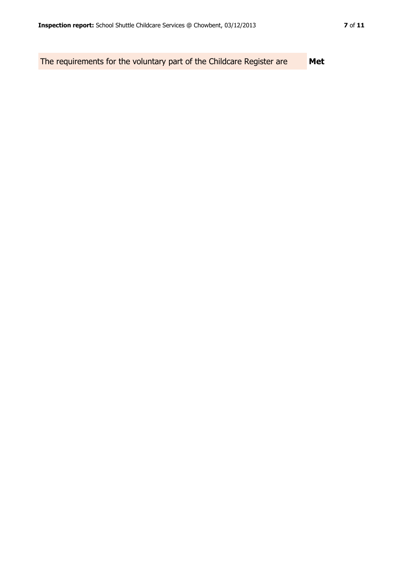The requirements for the voluntary part of the Childcare Register are **Met**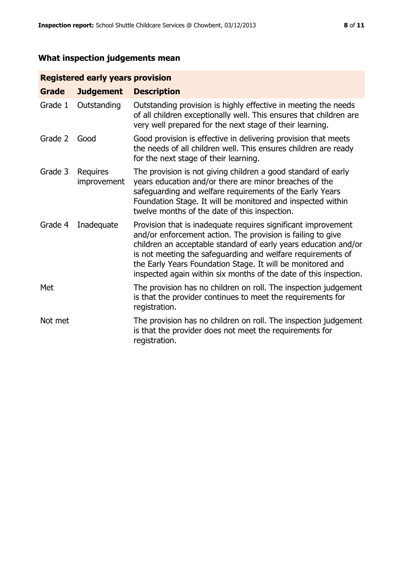# **What inspection judgements mean**

# **Registered early years provision**

| <b>Grade</b> | <b>Judgement</b>        | <b>Description</b>                                                                                                                                                                                                                                                                                                                                                                                |
|--------------|-------------------------|---------------------------------------------------------------------------------------------------------------------------------------------------------------------------------------------------------------------------------------------------------------------------------------------------------------------------------------------------------------------------------------------------|
| Grade 1      | Outstanding             | Outstanding provision is highly effective in meeting the needs<br>of all children exceptionally well. This ensures that children are<br>very well prepared for the next stage of their learning.                                                                                                                                                                                                  |
| Grade 2      | Good                    | Good provision is effective in delivering provision that meets<br>the needs of all children well. This ensures children are ready<br>for the next stage of their learning.                                                                                                                                                                                                                        |
| Grade 3      | Requires<br>improvement | The provision is not giving children a good standard of early<br>years education and/or there are minor breaches of the<br>safeguarding and welfare requirements of the Early Years<br>Foundation Stage. It will be monitored and inspected within<br>twelve months of the date of this inspection.                                                                                               |
| Grade 4      | Inadequate              | Provision that is inadequate requires significant improvement<br>and/or enforcement action. The provision is failing to give<br>children an acceptable standard of early years education and/or<br>is not meeting the safeguarding and welfare requirements of<br>the Early Years Foundation Stage. It will be monitored and<br>inspected again within six months of the date of this inspection. |
| Met          |                         | The provision has no children on roll. The inspection judgement<br>is that the provider continues to meet the requirements for<br>registration.                                                                                                                                                                                                                                                   |
| Not met      |                         | The provision has no children on roll. The inspection judgement<br>is that the provider does not meet the requirements for<br>registration.                                                                                                                                                                                                                                                       |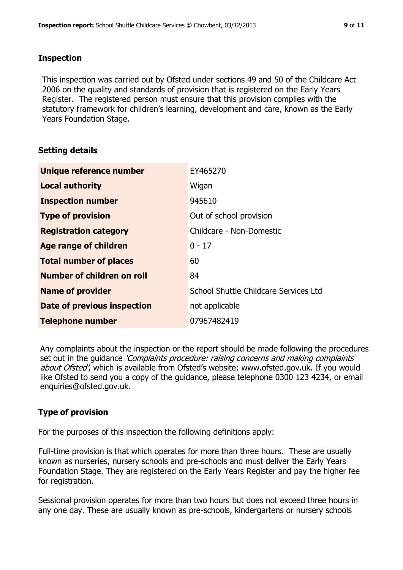#### **Inspection**

This inspection was carried out by Ofsted under sections 49 and 50 of the Childcare Act 2006 on the quality and standards of provision that is registered on the Early Years Register. The registered person must ensure that this provision complies with the statutory framework for children's learning, development and care, known as the Early Years Foundation Stage.

# **Setting details**

| Unique reference number       | EY465270                              |
|-------------------------------|---------------------------------------|
| <b>Local authority</b>        | Wigan                                 |
| <b>Inspection number</b>      | 945610                                |
| <b>Type of provision</b>      | Out of school provision               |
| <b>Registration category</b>  | Childcare - Non-Domestic              |
| Age range of children         | $0 - 17$                              |
| <b>Total number of places</b> | 60                                    |
| Number of children on roll    | 84                                    |
| <b>Name of provider</b>       | School Shuttle Childcare Services Ltd |
| Date of previous inspection   | not applicable                        |
| <b>Telephone number</b>       | 07967482419                           |

Any complaints about the inspection or the report should be made following the procedures set out in the guidance *'Complaints procedure: raising concerns and making complaints* about Ofsted', which is available from Ofsted's website: www.ofsted.gov.uk. If you would like Ofsted to send you a copy of the guidance, please telephone 0300 123 4234, or email enquiries@ofsted.gov.uk.

# **Type of provision**

For the purposes of this inspection the following definitions apply:

Full-time provision is that which operates for more than three hours. These are usually known as nurseries, nursery schools and pre-schools and must deliver the Early Years Foundation Stage. They are registered on the Early Years Register and pay the higher fee for registration.

Sessional provision operates for more than two hours but does not exceed three hours in any one day. These are usually known as pre-schools, kindergartens or nursery schools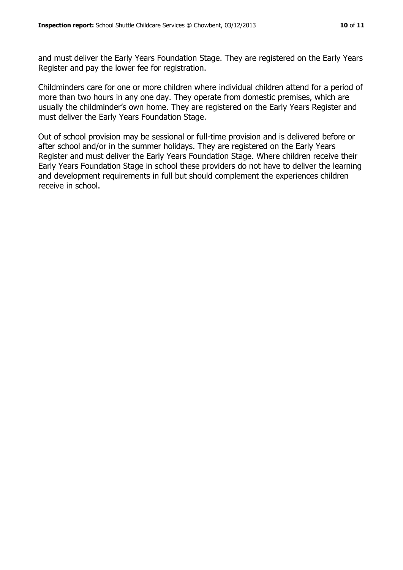and must deliver the Early Years Foundation Stage. They are registered on the Early Years Register and pay the lower fee for registration.

Childminders care for one or more children where individual children attend for a period of more than two hours in any one day. They operate from domestic premises, which are usually the childminder's own home. They are registered on the Early Years Register and must deliver the Early Years Foundation Stage.

Out of school provision may be sessional or full-time provision and is delivered before or after school and/or in the summer holidays. They are registered on the Early Years Register and must deliver the Early Years Foundation Stage. Where children receive their Early Years Foundation Stage in school these providers do not have to deliver the learning and development requirements in full but should complement the experiences children receive in school.